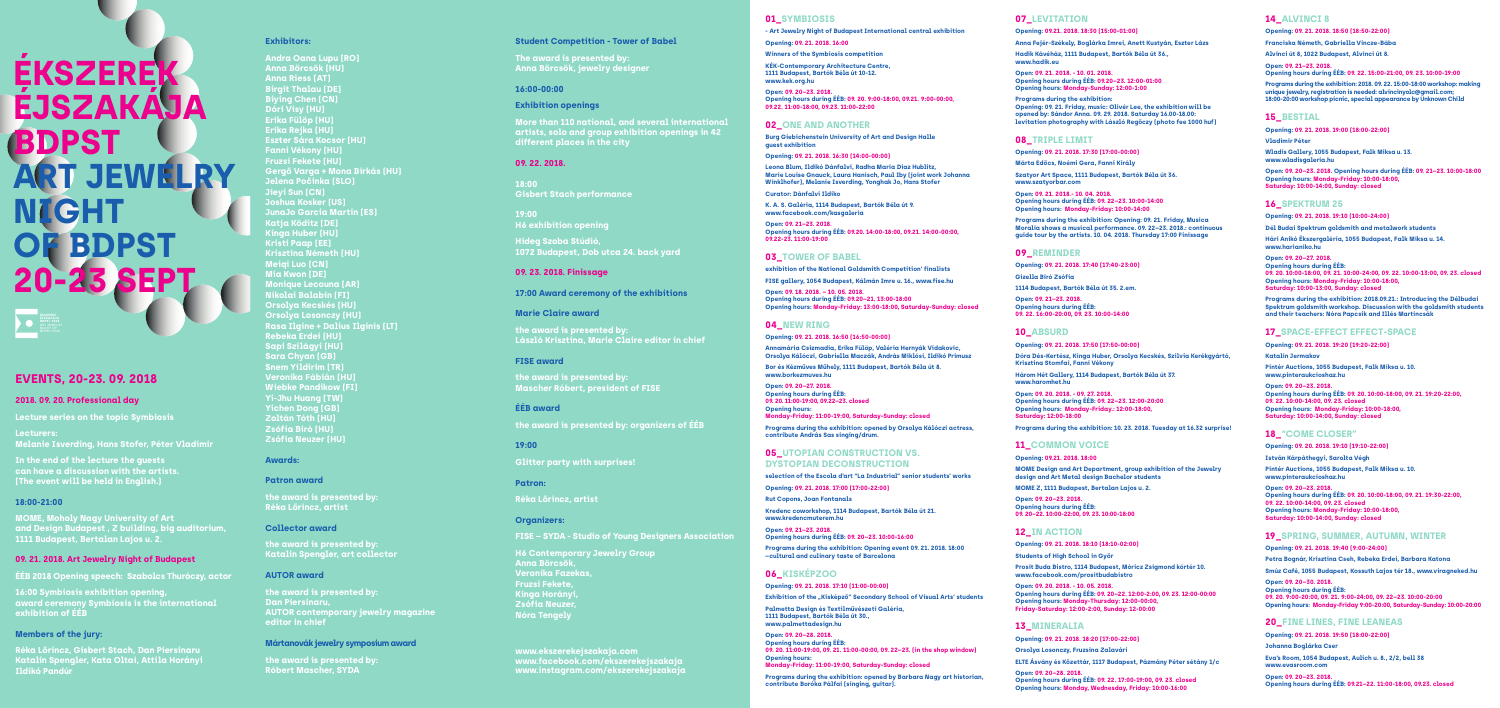# **01\_SYMBIOSIS**

**- Art Jewelry Night of Budapest International central exhibition** 

**Opening: 09. 21. 2018. 16:00**

**Winners of the Symbiosis competition** 

**KÉK-Contemporary Architecture Centre, 1111 Budapest, Bartók Béla út 10-12. www.kek.org.hu**

**Open: 09. 20–23. 2018. Opening hours during ÉÉB: 09. 20. 9:00-18:00, 09.21. 9:00-00:00, 09.22. 11:00-18:00, 09.23. 11:00-22:00**

## **02\_ONE AND ANOTHER**

**Burg Giebichenstein University of Art and Design Halle guest exhibition**

**Opening: 09. 21. 2018. 16:30 (14:00-00:00)**

**Leona Blum, Ildikó Dánfalvi, Radha Maria Diaz Hublitz, Marie Louise Gnauck, Laura Hanisch, Paul Iby (joint work Johanna Winklhofer), Melanie Isverding, Yonghak Jo, Hans Stofer**

**Curator: Dánfalvi Ildiko**

**K. A. S. Galéria, 1114 Budapest, Bartók Béla út 9. www.facebook.com/kasgaleria**

**Open: 09. 21–23. 2018. Opening hours during ÉÉB: 09.20. 14:00-18:00, 09.21. 14:00-00:00, 09.22-23. 11:00-19:00**

### **05 UTOPIAN CONSTRUCTION VS. DYSTOPIAN DECONSTRUCTION**

# **03\_TOWER OF BABEL**

**exhibition of the National Goldsmith Competition' finalists** 

**FISE gallery, 1054 Budapest, Kálmán Imre u. 16., www.fise.hu**

**Open: 09. 18. 2018. – 10. 05. 2018. Opening hours during ÉÉB: 09.20–21. 13:00-18:00 Opening hours: Monday-Friday: 13:00-18:00, Saturday-Sunday: closed**

# **04\_NEW RING**

#### **Opening: 09. 21. 2018. 16:50 (16:50-00:00)**

**Annamária Csizmadia, Erika Fülöp, Valéria Hernyák Vidakovic, Orsolya Kálóczi, Gabriella Maczák, András Miklósi, Ildikó Primusz**

**Bor és Kézműves Műhely, 1111 Budapest, Bartók Béla út 8. www.borkezmuves.hu**

**Open: 09. 20–27. 2018. Opening hours during ÉÉB: 09. 20. 11:00-19:00, 09.22–23. closed Opening hours:** 

**Monday-Friday: 11:00-19:00, Saturday-Sunday: closed**

**Programs during the exhibition: opened by Orsolya Kálóczi actress, contribute András Sas singing/drum.**

**selection of the Escola d'art "La Industrial" senior students' works**

**Opening: 09. 21. 2018. 17:00 (17:00-22:00)**

**Rut Copons, Joan Fontanals**

**Kredenc coworkshop, 1114 Budapest, Bartók Béla út 21. www.kredencmuterem.hu**

**Open: 09. 21–23. 2018. Opening hours during ÉÉB: 09. 20–23. 10:00-16:00**

**Programs during the exhibition: Opening event 09. 21. 2018. 18:00 –cultural and culinary taste of Barcelona**

# **06\_KISKÉPZOO**

**Opening: 09. 21. 2018. 17:10 (11:00-00:00)**

**Exhibition of the "Kisképző" Secondary School of Visual Arts' students** 

**Palmetta Design és Textilművészeti Galéria, 1111 Budapest, Bartók Béla út 30., www.palmettadesign.hu**

**Open: 09. 20–28. 2018. Opening hours during ÉÉB: 09. 20. 11:00-19:00, 09. 21. 11:00-00:00, 09. 22–23. (in the shop window) Opening hours: Monday-Friday: 11:00-19:00, Saturday-Sunday: closed**

**Programs during the exhibition: opened by Barbara Nagy art historian, contribute Boróka Pálfai (singing, guitar).**

# **EVENTS, 20-23. 09. 2018**

# **2018. 09. 20. Professional day**

**Lecture series on the topic Symbiosis** 

**Lecturers: Melanie Isverding, Hans Stofer, Péter Vladimir**

**In the end of the lecture the guests can have a discussion with the artists. (The event will be held in English.)**

# **18:00-21:00**

**MOME, Moholy Nagy University of Art and Design Budapest , Z building, big auditorium, 1111 Budapest, Bertalan Lajos u. 2.**

# **09. 21. 2018. Art Jewelry Night of Budapest**

**ÉÉB 2018 Opening speech: Szabolcs Thuróczy, actor**

**16:00 Symbiosis exhibition opening, award ceremony Symbiosis is the international exhibition of ÉÉB**

## **Members of the jury:**

**Réka Lőrincz, Gisbert Stach, Dan Piersinaru Katalin Spengler, Kata Oltai, Attila Horányi Ildikó Pandúr**

# **Exhibitors:**

**Andra Oana Lupu (RO) Anna Börcsök (HU) Anna Riess (AT) Birgit Thalau (DE) Biying Chen (CN) Dóri Visy (HU) Erika Fülöp (HU) Erika Rejka (HU) Eszter Sára Kocsor (HU) Fanni Vékony (HU) Fruzsi Fekete (HU) Gergő Varga + Mona Birkás (HU) Jelena Počinka (SLO) Jieyi Sun (CN) Joshua Kosker (US) JunaJo Garcia Martin (ES) Katja Köditz (DE) Kinga Huber (HU) Kristi Paap (EE) Krisztina Németh (HU) Meiqi Luo (CN) Mia Kwon (DE) Monique Lecouna (AR) Nikolai Balabin (FI) Orsolya Kecskés (HU) Orsolya Losonczy (HU) Rasa Ilgine + Dalius Ilginis (LT) Rebeka Erdei (HU) Sapi Szilágyi (HU) Sara Chyan (GB) Snem Yildirim (TR) Veronika Fábián (H Wiebke Pandikow (FI) Yi-Jhu Huang (TW) Yichen Dong (GB) Zoltán Tóth (HU) Zsófia Biró (HU) Zsófia Neuzer (HU)**

#### **Awards:**

#### **Patron award**

**the award is presented by: Réka Lőrincz, artist**

#### **Collector award**

**the award is presented by: Katalin Spengler, art collector**

#### **AUTOR award**

**the award is presented by: Dan Piersinaru, AUTOR contemporary jewelry magazine editor in chief** 

#### **Mártanovák jewelry symposium award**

**the award is presented by: Róbert Mascher, SYDA** 

#### **Student Competition - Tower of Babel**

**The award is presented by: Anna Börcsök, jewelry designer**

#### **16:00-00:00**

### **Exhibition openings**

**More than 110 national, and several international artists, solo and group exhibition openings in 42 different places in the city** 

# **09. 22. 2018.**

**18:00 Gisbert Stach performance**

**19:00 H6 exhibition opening**

**Hideg Szoba Stúdió, 1072 Budapest, Dob utca 24. back yard**

### **09. 23. 2018. Finissage**

**17:00 Award ceremony of the exhibitions**

#### **Marie Claire award**

**the award is presented by: László Krisztina, Marie Claire editor in chief**

#### **FISE award**

**the award is presented by: Mascher Róbert, president of FISE**

## **ÉÉB award**

**the award is presented by: organizers of ÉÉB** 

## **19:00**

**Glitter party with surprises!** 

#### **Patron:**

**Réka Lőrincz, artist**

#### **Organizers:**

**FISE – SYDA - Studio of Young Designers Association**

**H6 Contemporary Jewelry Group Anna Börcsök, Veronika Fazekas, Fruzsi Fekete, Kinga Horányi, Zsófia Neuzer, Nóra Tengely**

# **ÉKSZEREK ÉJSZAKÁJA BDPST ART JEWELRY NIGHT OF BDPST** 20-23 SEP

**www.ekszerekejszakaja.com www.facebook.com/ekszerekejszakaja www.instagram.com/ekszerekejszakaja**

# **07\_LEVITATION**

#### **Opening: 09.21. 2018. 18:30 (15:00-01:00)**

**Anna Fejér-Székely, Boglárka Imrei, Anett Kustyán, Eszter Lázs**

**Hadik Kávéház, 1111 Budapest, Bartók Béla út 36., www.hadik.eu**

**Open: 09. 21. 2018. - 10. 01. 2018. Opening hours during ÉÉB: 09.20–23. 12:00-01:00 Opening hours: Monday-Sunday: 12:00-1:00**

**Programs during the exhibition: Opening: 09. 21. Friday, music: Olivér Lee, the exhibition will be opened by: Sándor Anna. 09. 29. 2018. Saturday 16.00-18.00: levitation photography with László Regőczy (photo fee 1000 huf)** 

### **08\_TRIPLE LIMIT**

**Opening: 09. 21. 2018. 17:30 (17:00-00:00)**

**Márta Edőcs, Noémi Gera, Fanni Király**

**Szatyor Art Space, 1111 Budapest, Bartók Béla út 36. www.szatyorbar.com**

**Open: 09. 21. 2018.- 10. 04. 2018. Opening hours during ÉÉB: 09. 22–23. 10:00-14:00 Opening hours: Monday-Friday: 10:00-14:00**

**Programs during the exhibition: Opening: 09. 21. Friday, Musica Moralia shows a musical performance. 09. 22–23. 2018.: continuous guide tour by the artists. 10. 04. 2018. Thursday 17:00 Finissage**

#### **09\_REMINDER**

**Opening: 09. 21. 2018. 17:40 (17:40-23:00) Gizella Biró Zsófia**

**1114 Budapest, Bartók Béla út 35. 2.em.**

**Open: 09. 21–23. 2018. Opening hours during ÉÉB: 09. 22. 16:00-20:00, 09. 23. 10:00-14:00**

#### **10\_ABSURD**

**Opening: 09. 21. 2018. 17:50 (17:50-00:00)**

**Dóra Dés-Kertész, Kinga Huber, Orsolya Kecskés, Szilvia Kerékgyártó, Krisztina Stomfai, Fanni Vékony**

**Három Hét Gallery, 1114 Budapest, Bartók Béla út 37. www.haromhet.hu**

**Open: 09. 20. 2018. - 09. 27. 2018. Opening hours during ÉÉB: 09. 22–23. 12:00-20:00 Opening hours: Monday-Friday.: 12:00-18:00, Saturday: 12:00-18:00**

**Programs during the exhibition: 10. 23. 2018. Tuesday at 16.32 surprise!**

## **11\_COMMON VOICE**

**Opening: 09.21. 2018. 18:00**

**MOME Design and Art Department, group exhibition of the Jewelry design and Art Metal design Bachelor students** 

**MOME Z, 1111 Budapest, Bertalan Lajos u. 2.**

**Open: 09. 20–23. 2018. Opening hours during ÉÉB: 09. 20–22. 10:00-22:00, 09. 23. 10:00-18:00** 

#### **12\_IN ACTION**

**Opening: 09. 21. 2018. 18:10 (18:10-02:00)**

**Students of High School in Győr**

**Prosit Buda Bistro, 1114 Budapest, Móricz Zsigmond körtér 10. www.facebook.com/prositbudabistro**

**Open: 09. 20. 2018. - 10. 05. 2018. Opening hours during ÉÉB: 09. 20–22. 12:00-2:00, 09. 23. 12:00-00:00 Opening hours: Monday-Thursday: 12:00-00:00, Friday-Saturday: 12:00-2:00, Sunday: 12-00:00**

## **13\_MINERALIA**

**Opening: 09. 21. 2018. 18:20 (17:00-22:00)**

**Orsolya Losonczy, Fruzsina Zalavári**

**ELTE Ásvány és Kőzettár, 1117 Budapest, Pázmány Péter sétány 1/c**

**Open: 09. 20–28. 2018. Opening hours during ÉÉB: 09. 22. 17:00-19:00, 09. 23. closed Opening hours: Monday, Wednesday, Friday: 10:00-16:00**

# **14\_ALVINCI 8**

**Opening: 09. 21. 2018. 18:50 (18:50-22:00)**

**Franciska Németh, Gabriella Vincze-Bába**

**Alvinci út 8, 1022 Budapest, Alvinci út 8.**

**Open: 09. 21–23. 2018. Opening hours during ÉÉB: 09. 22. 15:00-21:00, 09. 23. 10:00-19:00**

**Programs during the exhibition: 2018. 09. 22. 15:00-18:00 workshop: making unique jewelry, registration is needed: alvincinyolc@gmail.com; 18:00-20:00 workshop picnic, special appearance by Unknown Child**

# **15\_BESTIAL**

**Opening: 09. 21. 2018. 19:00 (18:00-22:00)**

**Vladimir Péter** 

**Wladis Gallery, 1055 Budapest, Falk Miksa u. 13. www.wladisgaleria.hu**

**Open: 09. 20–23. 2018. Opening hours during ÉÉB: 09. 21–23. 10:00-18:00 Opening hours: Monday-Friday: 10:00-18:00, Saturday: 10:00-14:00, Sunday: closed**

# **16\_SPEKTRUM 25**

**Opening: 09. 21. 2018. 19:10 (10:00-24:00)**

**Hári Anikó Ékszergaléria, 1055 Budapest, Falk Miksa u. 14. www.harianiko.hu**

**Open: 09. 20–27. 2018. Opening hours during ÉÉB: 09. 20. 10:00-18:00, 09. 21. 10:00-24:00, 09. 22. 10:00-13:00, 09. 23. closed Opening hours: Monday-Friday: 10:00-18:00, Saturday: 10:00-13:00, Sunday: closed**

**Programs during the exhibition: 2018.09.21.: Introducing the Délbudai Spektrum goldsmith workshop. Discussion with the goldsmith students and their teachers: Nóra Papcsik and Illés Martincsák** 

#### **17\_SPACE-EFFECT EFFECT-SPACE**

**Opening: 09. 21. 2018. 19:20 (19:20-22:00)**

**Katalin Jermakov**

**Pintér Auctions, 1055 Budapest, Falk Miksa u. 10. www.pinteraukcioshaz.hu**

**Open: 09. 20–23. 2018. Opening hours during ÉÉB: 09. 20. 10:00-18:00, 09. 21. 19:20-22:00, 09. 22. 10:00-14:00, 09. 23. closed Opening hours: Monday-Friday: 10:00-18:00, Saturday: 10:00-14:00, Sunday: closed**



# **18\_"COME CLOSER"**

**Opening: 09. 20. 2018. 19:10 (19:10-22:00)**

**István Kárpáthegyi, Sarolta Végh**

**Pintér Auctions, 1055 Budapest, Falk Miksa u. 10. www.pinteraukcioshaz.hu**

**Open: 09. 20–23. 2018. Opening hours during ÉÉB: 09. 20. 10:00-18:00, 09. 21. 19:30-22:00, 09. 22. 10:00-14:00, 09. 23. closed Opening hours: Monday-Friday: 10:00-18:00, Saturday: 10:00-14:00, Sunday: closed**

**Opening: 09. 21. 2018. 19:40 (9:00-24:00)**

**Open: 09. 20–30. 2018. Opening hours during ÉÉB:** 

**Opening: 09. 21. 2018. 19:50 (18:00-22:00)**

**Johanna Boglárka Cser**

**Eva's Room, 1054 Budapest, Aulich u. 8., 2/2, bell 38**

**www.evasroom.com Open: 09. 20–23. 2018.** 

**Opening hours during ÉÉB: 09.21–22. 11:00-18:00, 09.23. closed**